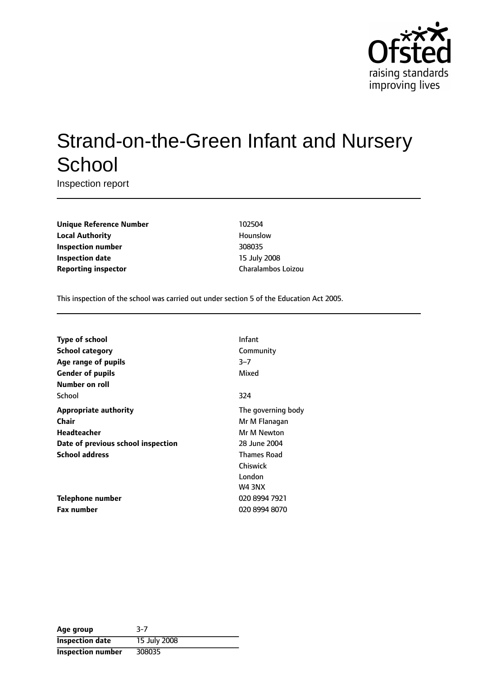

# Strand-on-the-Green Infant and Nursery **School**

Inspection report

**Unique Reference Number** 102504 **Local Authority Hounslow Inspection number** 308035 **Inspection date** 15 July 2008 **Reporting inspector Charalambos Loizou** 

This inspection of the school was carried out under section 5 of the Education Act 2005.

| Type of school                     | Infant             |
|------------------------------------|--------------------|
| <b>School category</b>             | Community          |
| Age range of pupils                | $3 - 7$            |
| <b>Gender of pupils</b>            | Mixed              |
| Number on roll                     |                    |
| School                             | 324                |
| <b>Appropriate authority</b>       | The governing body |
| Chair                              | Mr M Flanagan      |
| <b>Headteacher</b>                 | Mr M Newton        |
| Date of previous school inspection | 28 June 2004       |
| <b>School address</b>              | <b>Thames Road</b> |
|                                    | Chiswick           |
|                                    | London             |
|                                    | <b>W4 3NX</b>      |
| Telephone number                   | 020 8994 7921      |
| <b>Fax number</b>                  | 020 8994 8070      |

| Age group                | 3-7          |
|--------------------------|--------------|
| <b>Inspection date</b>   | 15 July 2008 |
| <b>Inspection number</b> | 308035       |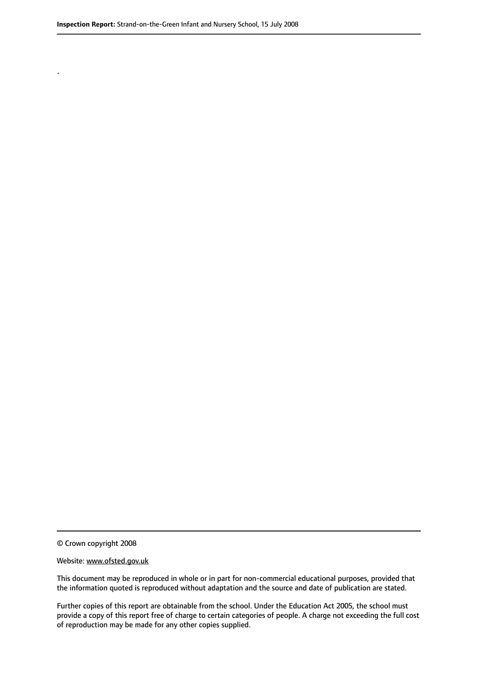.

© Crown copyright 2008

#### Website: www.ofsted.gov.uk

This document may be reproduced in whole or in part for non-commercial educational purposes, provided that the information quoted is reproduced without adaptation and the source and date of publication are stated.

Further copies of this report are obtainable from the school. Under the Education Act 2005, the school must provide a copy of this report free of charge to certain categories of people. A charge not exceeding the full cost of reproduction may be made for any other copies supplied.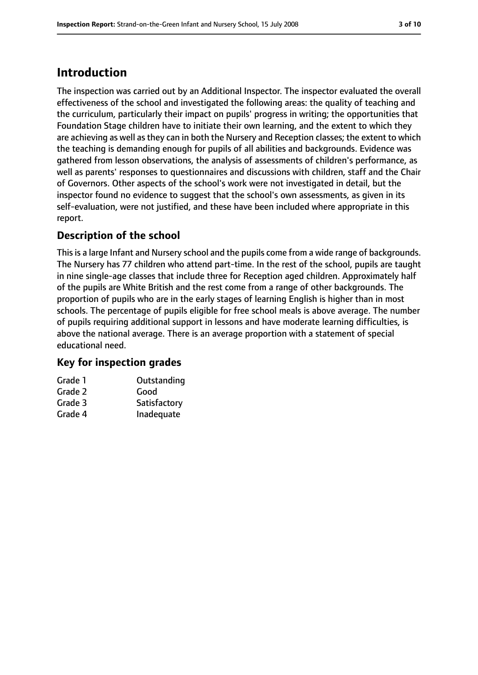## **Introduction**

The inspection was carried out by an Additional Inspector. The inspector evaluated the overall effectiveness of the school and investigated the following areas: the quality of teaching and the curriculum, particularly their impact on pupils' progress in writing; the opportunities that Foundation Stage children have to initiate their own learning, and the extent to which they are achieving as well as they can in both the Nursery and Reception classes; the extent to which the teaching is demanding enough for pupils of all abilities and backgrounds. Evidence was gathered from lesson observations, the analysis of assessments of children's performance, as well as parents' responses to questionnaires and discussions with children, staff and the Chair of Governors. Other aspects of the school's work were not investigated in detail, but the inspector found no evidence to suggest that the school's own assessments, as given in its self-evaluation, were not justified, and these have been included where appropriate in this report.

## **Description of the school**

This is a large Infant and Nursery school and the pupils come from a wide range of backgrounds. The Nursery has 77 children who attend part-time. In the rest of the school, pupils are taught in nine single-age classes that include three for Reception aged children. Approximately half of the pupils are White British and the rest come from a range of other backgrounds. The proportion of pupils who are in the early stages of learning English is higher than in most schools. The percentage of pupils eligible for free school meals is above average. The number of pupils requiring additional support in lessons and have moderate learning difficulties, is above the national average. There is an average proportion with a statement of special educational need.

## **Key for inspection grades**

| Grade 1 | Outstanding  |
|---------|--------------|
| Grade 2 | Good         |
| Grade 3 | Satisfactory |
| Grade 4 | Inadequate   |
|         |              |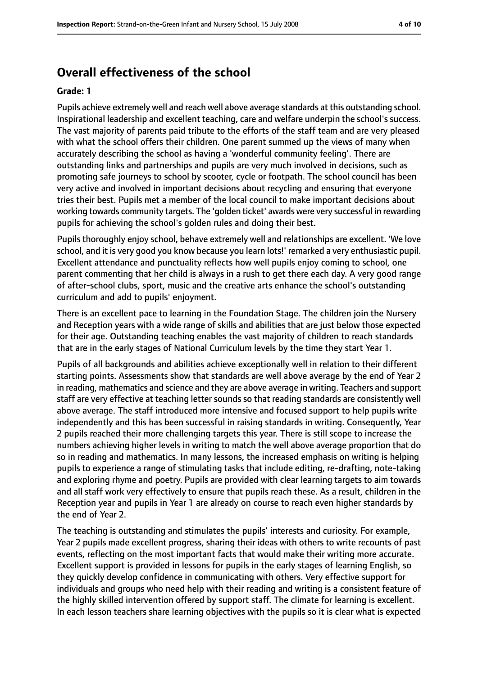## **Overall effectiveness of the school**

#### **Grade: 1**

Pupils achieve extremely well and reach well above average standards at this outstanding school. Inspirational leadership and excellent teaching, care and welfare underpin the school's success. The vast majority of parents paid tribute to the efforts of the staff team and are very pleased with what the school offers their children. One parent summed up the views of many when accurately describing the school as having a 'wonderful community feeling'. There are outstanding links and partnerships and pupils are very much involved in decisions, such as promoting safe journeys to school by scooter, cycle or footpath. The school council has been very active and involved in important decisions about recycling and ensuring that everyone tries their best. Pupils met a member of the local council to make important decisions about working towards community targets. The 'golden ticket' awards were very successful in rewarding pupils for achieving the school's golden rules and doing their best.

Pupils thoroughly enjoy school, behave extremely well and relationships are excellent. 'We love school, and it is very good you know because you learn lots!' remarked a very enthusiastic pupil. Excellent attendance and punctuality reflects how well pupils enjoy coming to school, one parent commenting that her child is always in a rush to get there each day. A very good range of after-school clubs, sport, music and the creative arts enhance the school's outstanding curriculum and add to pupils' enjoyment.

There is an excellent pace to learning in the Foundation Stage. The children join the Nursery and Reception years with a wide range of skills and abilities that are just below those expected for their age. Outstanding teaching enables the vast majority of children to reach standards that are in the early stages of National Curriculum levels by the time they start Year 1.

Pupils of all backgrounds and abilities achieve exceptionally well in relation to their different starting points. Assessments show that standards are well above average by the end of Year 2 in reading, mathematics and science and they are above average in writing. Teachers and support staff are very effective at teaching letter sounds so that reading standards are consistently well above average. The staff introduced more intensive and focused support to help pupils write independently and this has been successful in raising standards in writing. Consequently, Year 2 pupils reached their more challenging targets this year. There is still scope to increase the numbers achieving higher levels in writing to match the well above average proportion that do so in reading and mathematics. In many lessons, the increased emphasis on writing is helping pupils to experience a range of stimulating tasks that include editing, re-drafting, note-taking and exploring rhyme and poetry. Pupils are provided with clear learning targets to aim towards and all staff work very effectively to ensure that pupils reach these. As a result, children in the Reception year and pupils in Year 1 are already on course to reach even higher standards by the end of Year 2.

The teaching is outstanding and stimulates the pupils' interests and curiosity. For example, Year 2 pupils made excellent progress, sharing their ideas with others to write recounts of past events, reflecting on the most important facts that would make their writing more accurate. Excellent support is provided in lessons for pupils in the early stages of learning English, so they quickly develop confidence in communicating with others. Very effective support for individuals and groups who need help with their reading and writing is a consistent feature of the highly skilled intervention offered by support staff. The climate for learning is excellent. In each lesson teachers share learning objectives with the pupils so it is clear what is expected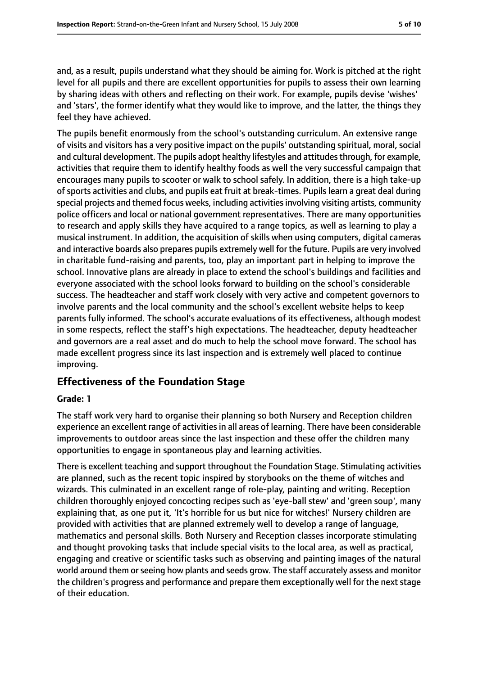and, as a result, pupils understand what they should be aiming for. Work is pitched at the right level for all pupils and there are excellent opportunities for pupils to assess their own learning by sharing ideas with others and reflecting on their work. For example, pupils devise 'wishes' and 'stars', the former identify what they would like to improve, and the latter, the things they feel they have achieved.

The pupils benefit enormously from the school's outstanding curriculum. An extensive range of visits and visitors has a very positive impact on the pupils' outstanding spiritual, moral,social and cultural development. The pupils adopt healthy lifestyles and attitudes through, for example, activities that require them to identify healthy foods as well the very successful campaign that encourages many pupils to scooter or walk to school safely. In addition, there is a high take-up ofsports activities and clubs, and pupils eat fruit at break-times. Pupils learn a great deal during special projects and themed focus weeks, including activities involving visiting artists, community police officers and local or national government representatives. There are many opportunities to research and apply skills they have acquired to a range topics, as well as learning to play a musical instrument. In addition, the acquisition of skills when using computers, digital cameras and interactive boards also prepares pupils extremely well for the future. Pupils are very involved in charitable fund-raising and parents, too, play an important part in helping to improve the school. Innovative plans are already in place to extend the school's buildings and facilities and everyone associated with the school looks forward to building on the school's considerable success. The headteacher and staff work closely with very active and competent governors to involve parents and the local community and the school's excellent website helps to keep parents fully informed. The school's accurate evaluations of its effectiveness, although modest in some respects, reflect the staff's high expectations. The headteacher, deputy headteacher and governors are a real asset and do much to help the school move forward. The school has made excellent progress since its last inspection and is extremely well placed to continue improving.

## **Effectiveness of the Foundation Stage**

#### **Grade: 1**

The staff work very hard to organise their planning so both Nursery and Reception children experience an excellent range of activities in all areas of learning. There have been considerable improvements to outdoor areas since the last inspection and these offer the children many opportunities to engage in spontaneous play and learning activities.

There is excellent teaching and support throughout the Foundation Stage. Stimulating activities are planned, such as the recent topic inspired by storybooks on the theme of witches and wizards. This culminated in an excellent range of role-play, painting and writing. Reception children thoroughly enjoyed concocting recipes such as 'eye-ball stew' and 'green soup', many explaining that, as one put it, 'It's horrible for us but nice for witches!' Nursery children are provided with activities that are planned extremely well to develop a range of language, mathematics and personal skills. Both Nursery and Reception classes incorporate stimulating and thought provoking tasks that include special visits to the local area, as well as practical, engaging and creative or scientific tasks such as observing and painting images of the natural world around them or seeing how plants and seeds grow. The staff accurately assess and monitor the children's progress and performance and prepare them exceptionally well for the next stage of their education.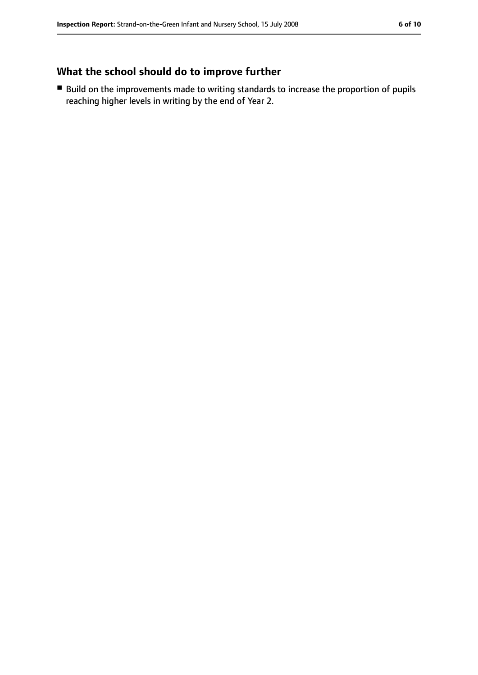## **What the school should do to improve further**

■ Build on the improvements made to writing standards to increase the proportion of pupils reaching higher levels in writing by the end of Year 2.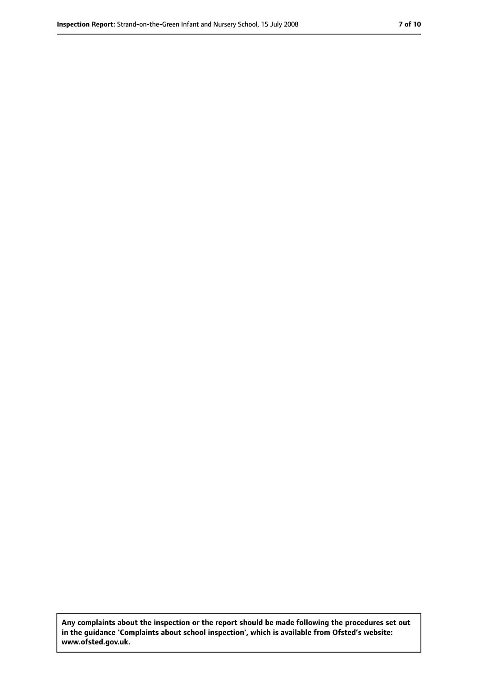**Any complaints about the inspection or the report should be made following the procedures set out in the guidance 'Complaints about school inspection', which is available from Ofsted's website: www.ofsted.gov.uk.**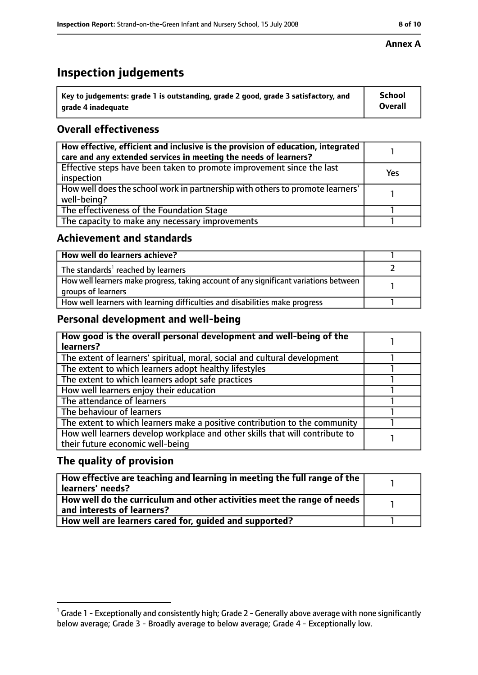## **Inspection judgements**

| $^{\backprime}$ Key to judgements: grade 1 is outstanding, grade 2 good, grade 3 satisfactory, and | <b>School</b>  |
|----------------------------------------------------------------------------------------------------|----------------|
| arade 4 inadeguate                                                                                 | <b>Overall</b> |

## **Overall effectiveness**

| How effective, efficient and inclusive is the provision of education, integrated<br>care and any extended services in meeting the needs of learners? |     |
|------------------------------------------------------------------------------------------------------------------------------------------------------|-----|
| Effective steps have been taken to promote improvement since the last<br>inspection                                                                  | Yes |
| How well does the school work in partnership with others to promote learners'<br>well-being?                                                         |     |
| The effectiveness of the Foundation Stage                                                                                                            |     |
| The capacity to make any necessary improvements                                                                                                      |     |

## **Achievement and standards**

| How well do learners achieve?                                                                               |  |
|-------------------------------------------------------------------------------------------------------------|--|
| The standards <sup>1</sup> reached by learners                                                              |  |
| How well learners make progress, taking account of any significant variations between<br>groups of learners |  |
| How well learners with learning difficulties and disabilities make progress                                 |  |

## **Personal development and well-being**

| How good is the overall personal development and well-being of the<br>learners?                                  |  |
|------------------------------------------------------------------------------------------------------------------|--|
| The extent of learners' spiritual, moral, social and cultural development                                        |  |
| The extent to which learners adopt healthy lifestyles                                                            |  |
| The extent to which learners adopt safe practices                                                                |  |
| How well learners enjoy their education                                                                          |  |
| The attendance of learners                                                                                       |  |
| The behaviour of learners                                                                                        |  |
| The extent to which learners make a positive contribution to the community                                       |  |
| How well learners develop workplace and other skills that will contribute to<br>their future economic well-being |  |

## **The quality of provision**

| How effective are teaching and learning in meeting the full range of the<br>learners' needs?          |  |
|-------------------------------------------------------------------------------------------------------|--|
| How well do the curriculum and other activities meet the range of needs<br>and interests of learners? |  |
| How well are learners cared for, quided and supported?                                                |  |

### **Annex A**

 $^1$  Grade 1 - Exceptionally and consistently high; Grade 2 - Generally above average with none significantly below average; Grade 3 - Broadly average to below average; Grade 4 - Exceptionally low.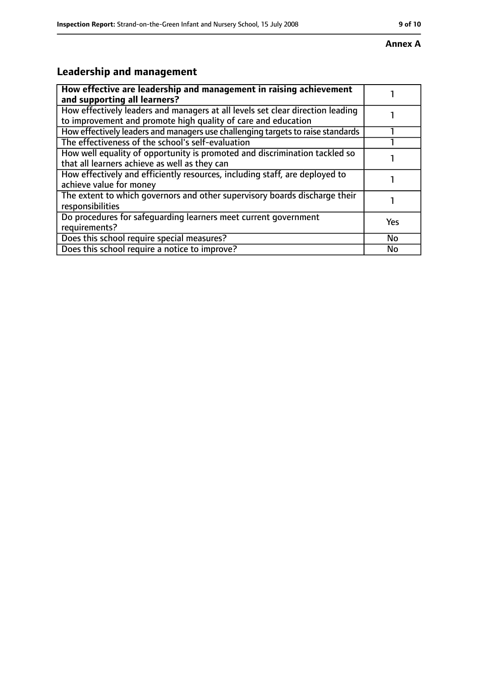## **Leadership and management**

| How effective are leadership and management in raising achievement<br>and supporting all learners?                                              |     |
|-------------------------------------------------------------------------------------------------------------------------------------------------|-----|
| How effectively leaders and managers at all levels set clear direction leading<br>to improvement and promote high quality of care and education |     |
| How effectively leaders and managers use challenging targets to raise standards                                                                 |     |
| The effectiveness of the school's self-evaluation                                                                                               |     |
| How well equality of opportunity is promoted and discrimination tackled so<br>that all learners achieve as well as they can                     |     |
| How effectively and efficiently resources, including staff, are deployed to<br>achieve value for money                                          |     |
| The extent to which governors and other supervisory boards discharge their<br>responsibilities                                                  |     |
| Do procedures for safequarding learners meet current government<br>requirements?                                                                | Yes |
| Does this school require special measures?                                                                                                      | No  |
| Does this school require a notice to improve?                                                                                                   | No  |